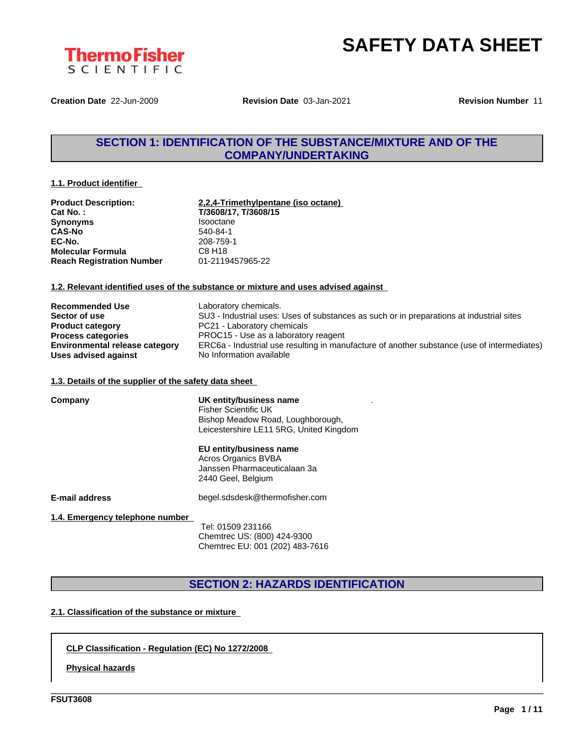



**Creation Date** 22-Jun-2009 **Revision Date** 03-Jan-2021 **Revision Number** 11

### **SECTION 1: IDENTIFICATION OF THE SUBSTANCE/MIXTURE AND OF THE COMPANY/UNDERTAKING**

#### **1.1. Product identifier**

| <b>Product Description:</b>      | 2,2,4-Trimethylpentane (iso octane) |
|----------------------------------|-------------------------------------|
| Cat No.:                         | T/3608/17, T/3608/15                |
| <b>Synonyms</b>                  | <b>Isooctane</b>                    |
| <b>CAS-No</b>                    | 540-84-1                            |
| EC-No.                           | 208-759-1                           |
| <b>Molecular Formula</b>         | C8 H <sub>18</sub>                  |
| <b>Reach Registration Number</b> | 01-2119457965-22                    |

#### **1.2. Relevant identified uses of the substance or mixture and uses advised against**

| <b>Recommended Use</b>                | Laboratory chemicals.                                                                       |
|---------------------------------------|---------------------------------------------------------------------------------------------|
| Sector of use                         | SU3 - Industrial uses: Uses of substances as such or in preparations at industrial sites    |
| <b>Product category</b>               | PC21 - Laboratory chemicals                                                                 |
| <b>Process categories</b>             | PROC15 - Use as a laboratory reagent                                                        |
| <b>Environmental release category</b> | ERC6a - Industrial use resulting in manufacture of another substance (use of intermediates) |
| Uses advised against                  | No Information available                                                                    |

#### **1.3. Details of the supplier of the safety data sheet**

| Company                         | UK entity/business name<br><b>Fisher Scientific UK</b><br>Bishop Meadow Road, Loughborough,<br>Leicestershire LE11 5RG, United Kingdom |
|---------------------------------|----------------------------------------------------------------------------------------------------------------------------------------|
|                                 | EU entity/business name<br>Acros Organics BVBA<br>Janssen Pharmaceuticalaan 3a<br>2440 Geel, Belgium                                   |
| E-mail address                  | begel.sdsdesk@thermofisher.com                                                                                                         |
| 1.4. Emergency telephone number | Tel: 01509 231166<br>Chemtrec US: (800) 424-9300<br>Chemtrec EU: 001 (202) 483-7616                                                    |

## **SECTION 2: HAZARDS IDENTIFICATION**

\_\_\_\_\_\_\_\_\_\_\_\_\_\_\_\_\_\_\_\_\_\_\_\_\_\_\_\_\_\_\_\_\_\_\_\_\_\_\_\_\_\_\_\_\_\_\_\_\_\_\_\_\_\_\_\_\_\_\_\_\_\_\_\_\_\_\_\_\_\_\_\_\_\_\_\_\_\_\_\_\_\_\_\_\_\_\_\_\_\_\_\_\_\_

#### **2.1. Classification of the substance or mixture**

#### **CLP Classification - Regulation (EC) No 1272/2008**

**Physical hazards**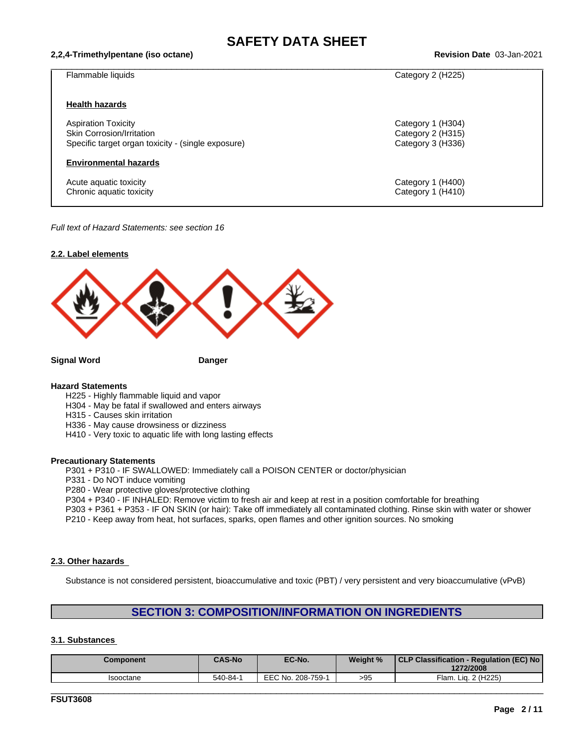#### **2,2,4-Trimethylpentane (iso octane) Revision Date** 03-Jan-2021

| Flammable liquids                                  | Category 2 (H225) |
|----------------------------------------------------|-------------------|
|                                                    |                   |
| <b>Health hazards</b>                              |                   |
| <b>Aspiration Toxicity</b>                         | Category 1 (H304) |
| Skin Corrosion/Irritation                          | Category 2 (H315) |
| Specific target organ toxicity - (single exposure) | Category 3 (H336) |
| <b>Environmental hazards</b>                       |                   |
| Acute aquatic toxicity                             | Category 1 (H400) |
| Chronic aquatic toxicity                           | Category 1 (H410) |
|                                                    |                   |

*Full text of Hazard Statements: see section 16*



#### **Hazard Statements**

- H225 Highly flammable liquid and vapor
- H304 May be fatal if swallowed and enters airways
- H315 Causes skin irritation
- H336 May cause drowsiness or dizziness
- H410 Very toxic to aquatic life with long lasting effects

#### **Precautionary Statements**

P301 + P310 - IF SWALLOWED: Immediately call a POISON CENTER or doctor/physician

- P331 Do NOT induce vomiting
- P280 Wear protective gloves/protective clothing

P304 + P340 - IF INHALED: Remove victim to fresh air and keep at rest in a position comfortable for breathing

P303 + P361 + P353 - IF ON SKIN (or hair): Take off immediately all contaminated clothing. Rinse skin with water or shower

P210 - Keep away from heat, hot surfaces, sparks, open flames and other ignition sources. No smoking

#### **2.3. Other hazards**

Substance is not considered persistent, bioaccumulative and toxic (PBT) / very persistent and very bioaccumulative (vPvB)

### **SECTION 3: COMPOSITION/INFORMATION ON INGREDIENTS**

#### **3.1. Substances**

| Component | <b>CAS-No</b> | EC-No.            | Weight %      | CLP Classification - Regulation (EC) No  <br>1272/2008 |
|-----------|---------------|-------------------|---------------|--------------------------------------------------------|
| Isooctane | 540-84-1      | EEC No. 208-759-1 | $\sim$<br>>৬੮ | Lig. 2 (H225)<br>$\Xi$ lam.                            |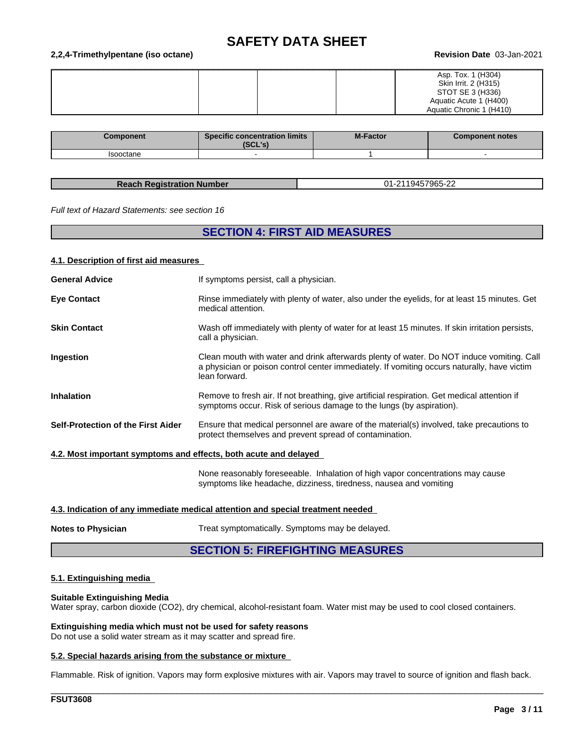#### **2,2,4-Trimethylpentane (iso octane) Revision Date** 03-Jan-2021

|  | Asp. Tox. 1 (H304)       |
|--|--------------------------|
|  | Skin Irrit. 2 (H315)     |
|  | STOT SE 3 (H336)         |
|  | Aquatic Acute 1 (H400)   |
|  | Aquatic Chronic 1 (H410) |

| Component | <b>Specific concentration limits</b><br>יהי ומא<br>196L 5. | <b>M-Factor</b> | <b>Component notes</b> |
|-----------|------------------------------------------------------------|-----------------|------------------------|
| Isooctane |                                                            |                 |                        |

| <b>Reach Registration Number</b> |  |
|----------------------------------|--|
|                                  |  |

**Reach Registration Number** 01-2119457965-22

*Full text of Hazard Statements: see section 16*

#### **SECTION 4: FIRST AID MEASURES**

#### **4.1. Description of first aid measures**

| If symptoms persist, call a physician.<br>Rinse immediately with plenty of water, also under the eyelids, for at least 15 minutes. Get<br>medical attention.<br>Wash off immediately with plenty of water for at least 15 minutes. If skin irritation persists,<br>call a physician.<br>Clean mouth with water and drink afterwards plenty of water. Do NOT induce vomiting. Call<br>a physician or poison control center immediately. If vomiting occurs naturally, have victim<br>lean forward.<br>Remove to fresh air. If not breathing, give artificial respiration. Get medical attention if<br>symptoms occur. Risk of serious damage to the lungs (by aspiration).<br>Ensure that medical personnel are aware of the material(s) involved, take precautions to<br>protect themselves and prevent spread of contamination. |                       |  |
|----------------------------------------------------------------------------------------------------------------------------------------------------------------------------------------------------------------------------------------------------------------------------------------------------------------------------------------------------------------------------------------------------------------------------------------------------------------------------------------------------------------------------------------------------------------------------------------------------------------------------------------------------------------------------------------------------------------------------------------------------------------------------------------------------------------------------------|-----------------------|--|
| <b>Eye Contact</b><br><b>Skin Contact</b><br>Ingestion<br><b>Inhalation</b><br>Self-Protection of the First Aider<br>4.2. Most important symptoms and effects, both acute and delayed                                                                                                                                                                                                                                                                                                                                                                                                                                                                                                                                                                                                                                            | <b>General Advice</b> |  |
|                                                                                                                                                                                                                                                                                                                                                                                                                                                                                                                                                                                                                                                                                                                                                                                                                                  |                       |  |
|                                                                                                                                                                                                                                                                                                                                                                                                                                                                                                                                                                                                                                                                                                                                                                                                                                  |                       |  |
|                                                                                                                                                                                                                                                                                                                                                                                                                                                                                                                                                                                                                                                                                                                                                                                                                                  |                       |  |
|                                                                                                                                                                                                                                                                                                                                                                                                                                                                                                                                                                                                                                                                                                                                                                                                                                  |                       |  |
|                                                                                                                                                                                                                                                                                                                                                                                                                                                                                                                                                                                                                                                                                                                                                                                                                                  |                       |  |
|                                                                                                                                                                                                                                                                                                                                                                                                                                                                                                                                                                                                                                                                                                                                                                                                                                  |                       |  |

None reasonably foreseeable. Inhalation of high vapor concentrations may cause symptoms like headache, dizziness, tiredness, nausea and vomiting

\_\_\_\_\_\_\_\_\_\_\_\_\_\_\_\_\_\_\_\_\_\_\_\_\_\_\_\_\_\_\_\_\_\_\_\_\_\_\_\_\_\_\_\_\_\_\_\_\_\_\_\_\_\_\_\_\_\_\_\_\_\_\_\_\_\_\_\_\_\_\_\_\_\_\_\_\_\_\_\_\_\_\_\_\_\_\_\_\_\_\_\_\_\_

#### **4.3. Indication of any immediate medical attention and special treatment needed**

**Notes to Physician** Treat symptomatically. Symptoms may be delayed.

#### **SECTION 5: FIREFIGHTING MEASURES**

#### **5.1. Extinguishing media**

#### **Suitable Extinguishing Media**

Water spray, carbon dioxide (CO2), dry chemical, alcohol-resistant foam. Water mist may be used to cool closed containers.

**Extinguishing media which must not be used for safety reasons** Do not use a solid water stream as it may scatter and spread fire.

#### **5.2. Special hazards arising from the substance or mixture**

Flammable. Risk of ignition. Vapors may form explosive mixtures with air. Vapors may travel to source of ignition and flash back.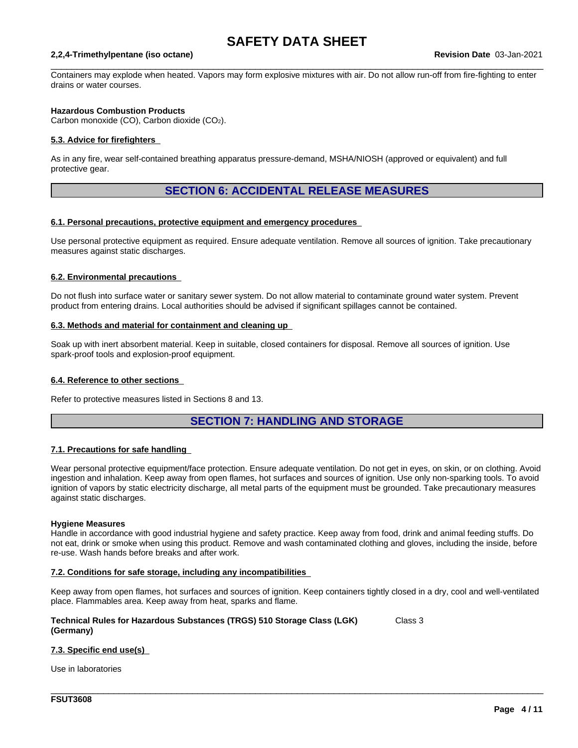$\_$  ,  $\_$  ,  $\_$  ,  $\_$  ,  $\_$  ,  $\_$  ,  $\_$  ,  $\_$  ,  $\_$  ,  $\_$  ,  $\_$  ,  $\_$  ,  $\_$  ,  $\_$  ,  $\_$  ,  $\_$  ,  $\_$  ,  $\_$  ,  $\_$  ,  $\_$  ,  $\_$  ,  $\_$  ,  $\_$  ,  $\_$  ,  $\_$  ,  $\_$  ,  $\_$  ,  $\_$  ,  $\_$  ,  $\_$  ,  $\_$  ,  $\_$  ,  $\_$  ,  $\_$  ,  $\_$  ,  $\_$  ,  $\_$  ,

#### **2,2,4-Trimethylpentane (iso octane) Revision Date** 03-Jan-2021

Containers may explode when heated. Vapors may form explosive mixtures with air. Do not allow run-off from fire-fighting to enter drains or water courses.

#### **Hazardous Combustion Products**

Carbon monoxide (CO), Carbon dioxide (CO2).

#### **5.3. Advice for firefighters**

As in any fire, wear self-contained breathing apparatus pressure-demand, MSHA/NIOSH (approved or equivalent) and full protective gear.

#### **SECTION 6: ACCIDENTAL RELEASE MEASURES**

#### **6.1. Personal precautions, protective equipment and emergency procedures**

Use personal protective equipment as required. Ensure adequate ventilation. Remove all sources of ignition. Take precautionary measures against static discharges.

#### **6.2. Environmental precautions**

Do not flush into surface water or sanitary sewer system. Do not allow material to contaminate ground water system. Prevent product from entering drains. Local authorities should be advised if significant spillages cannot be contained.

#### **6.3. Methods and material for containment and cleaning up**

Soak up with inert absorbent material. Keep in suitable, closed containers for disposal. Remove all sources of ignition. Use spark-proof tools and explosion-proof equipment.

#### **6.4. Reference to other sections**

Refer to protective measures listed in Sections 8 and 13.

#### **SECTION 7: HANDLING AND STORAGE**

#### **7.1. Precautions for safe handling**

Wear personal protective equipment/face protection. Ensure adequate ventilation. Do not get in eyes, on skin, or on clothing. Avoid ingestion and inhalation. Keep away from open flames, hot surfaces and sources of ignition. Use only non-sparking tools. To avoid ignition of vapors by static electricity discharge, all metal parts of the equipment must be grounded. Take precautionary measures against static discharges.

#### **Hygiene Measures**

Handle in accordance with good industrial hygiene and safety practice. Keep away from food, drink and animal feeding stuffs. Do not eat, drink or smoke when using this product. Remove and wash contaminated clothing and gloves, including the inside, before re-use. Wash hands before breaks and after work.

#### **7.2. Conditions for safe storage, including any incompatibilities**

Keep away from open flames, hot surfaces and sources of ignition. Keep containers tightly closed in a dry, cool and well-ventilated place. Flammables area. Keep away from heat, sparks and flame.

\_\_\_\_\_\_\_\_\_\_\_\_\_\_\_\_\_\_\_\_\_\_\_\_\_\_\_\_\_\_\_\_\_\_\_\_\_\_\_\_\_\_\_\_\_\_\_\_\_\_\_\_\_\_\_\_\_\_\_\_\_\_\_\_\_\_\_\_\_\_\_\_\_\_\_\_\_\_\_\_\_\_\_\_\_\_\_\_\_\_\_\_\_\_

Class 3

#### **Technical Rules for Hazardous Substances (TRGS) 510 Storage Class (LGK) (Germany)**

#### **7.3. Specific end use(s)**

Use in laboratories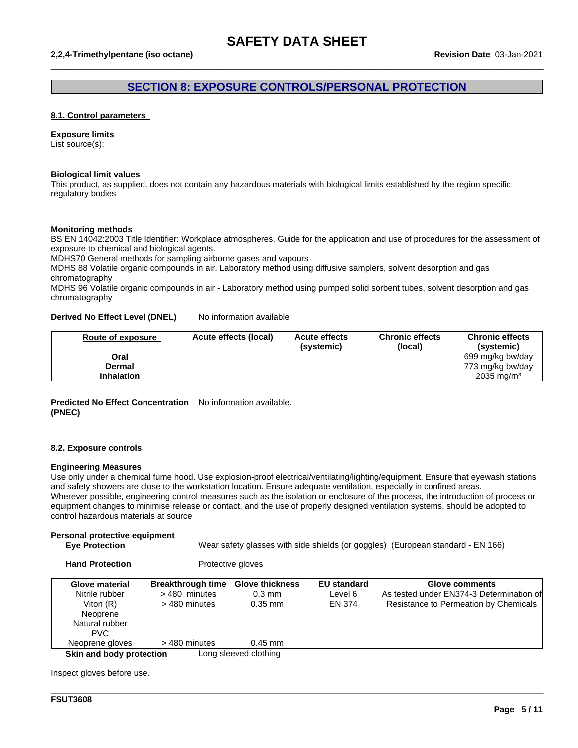### **SECTION 8: EXPOSURE CONTROLS/PERSONAL PROTECTION**

 $\_$  ,  $\_$  ,  $\_$  ,  $\_$  ,  $\_$  ,  $\_$  ,  $\_$  ,  $\_$  ,  $\_$  ,  $\_$  ,  $\_$  ,  $\_$  ,  $\_$  ,  $\_$  ,  $\_$  ,  $\_$  ,  $\_$  ,  $\_$  ,  $\_$  ,  $\_$  ,  $\_$  ,  $\_$  ,  $\_$  ,  $\_$  ,  $\_$  ,  $\_$  ,  $\_$  ,  $\_$  ,  $\_$  ,  $\_$  ,  $\_$  ,  $\_$  ,  $\_$  ,  $\_$  ,  $\_$  ,  $\_$  ,  $\_$  ,

#### **8.1. Control parameters**

#### **Exposure limits**

List source(s):

#### **Biological limit values**

This product, as supplied, does not contain any hazardous materials with biological limits established by the region specific regulatory bodies

#### **Monitoring methods**

BS EN 14042:2003 Title Identifier: Workplace atmospheres. Guide for the application and use of procedures for the assessment of exposure to chemical and biological agents.

MDHS70 General methods for sampling airborne gases and vapours

MDHS 88 Volatile organic compounds in air. Laboratory method using diffusive samplers, solvent desorption and gas chromatography

MDHS 96 Volatile organic compounds in air - Laboratory method using pumped solid sorbent tubes, solvent desorption and gas chromatography

#### **Derived No Effect Level (DNEL)** No information available

| Route of exposure | Acute effects (local) | <b>Acute effects</b><br>(systemic) | <b>Chronic effects</b><br>(local) | <b>Chronic effects</b><br>(systemic) |
|-------------------|-----------------------|------------------------------------|-----------------------------------|--------------------------------------|
| Oral              |                       |                                    |                                   | 699 mg/kg bw/day                     |
| Dermal            |                       |                                    |                                   | 773 mg/kg bw/day                     |
| <b>Inhalation</b> |                       |                                    |                                   | 2035 mg/m <sup>3</sup>               |

#### **Predicted No Effect Concentration** No information available. **(PNEC)**

#### **8.2. Exposure controls**

#### **Engineering Measures**

Use only under a chemical fume hood. Use explosion-proof electrical/ventilating/lighting/equipment. Ensure that eyewash stations and safety showers are close to the workstation location. Ensure adequate ventilation, especially in confined areas. Wherever possible, engineering control measures such as the isolation or enclosure of the process, the introduction of process or equipment changes to minimise release or contact, and the use of properly designed ventilation systems, should be adopted to control hazardous materials at source

#### **Personal protective equipment**

```
Eye Protection Wear safety glasses with side shields (or goggles) (European standard - EN 166)
```

| <b>Hand Protection</b>   |                          | Protective gloves      |                    |                                          |
|--------------------------|--------------------------|------------------------|--------------------|------------------------------------------|
| Glove material           | <b>Breakthrough time</b> | <b>Glove thickness</b> | <b>EU</b> standard | Glove comments                           |
| Nitrile rubber           | >480 minutes             | $0.3 \text{ mm}$       | Level 6            | As tested under EN374-3 Determination of |
| Viton $(R)$              | > 480 minutes            | $0.35$ mm              | EN 374             | Resistance to Permeation by Chemicals    |
| Neoprene                 |                          |                        |                    |                                          |
| Natural rubber           |                          |                        |                    |                                          |
| <b>PVC</b>               |                          |                        |                    |                                          |
| Neoprene gloves          | > 480 minutes            | $0.45$ mm              |                    |                                          |
| Skin and body protection |                          | Long sleeved clothing  |                    |                                          |

\_\_\_\_\_\_\_\_\_\_\_\_\_\_\_\_\_\_\_\_\_\_\_\_\_\_\_\_\_\_\_\_\_\_\_\_\_\_\_\_\_\_\_\_\_\_\_\_\_\_\_\_\_\_\_\_\_\_\_\_\_\_\_\_\_\_\_\_\_\_\_\_\_\_\_\_\_\_\_\_\_\_\_\_\_\_\_\_\_\_\_\_\_\_

Inspect gloves before use.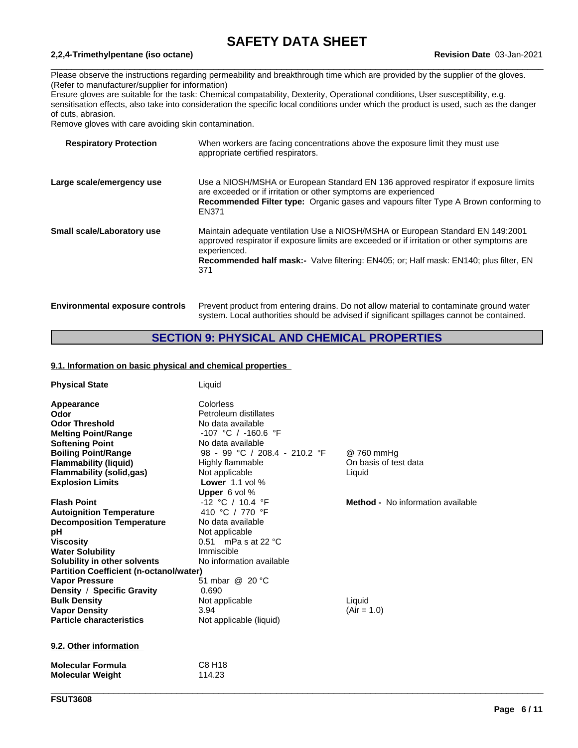$\_$  ,  $\_$  ,  $\_$  ,  $\_$  ,  $\_$  ,  $\_$  ,  $\_$  ,  $\_$  ,  $\_$  ,  $\_$  ,  $\_$  ,  $\_$  ,  $\_$  ,  $\_$  ,  $\_$  ,  $\_$  ,  $\_$  ,  $\_$  ,  $\_$  ,  $\_$  ,  $\_$  ,  $\_$  ,  $\_$  ,  $\_$  ,  $\_$  ,  $\_$  ,  $\_$  ,  $\_$  ,  $\_$  ,  $\_$  ,  $\_$  ,  $\_$  ,  $\_$  ,  $\_$  ,  $\_$  ,  $\_$  ,  $\_$  ,

#### **2,2,4-Trimethylpentane (iso octane) Revision Date** 03-Jan-2021

Please observe the instructions regarding permeability and breakthrough time which are provided by the supplier of the gloves. (Refer to manufacturer/supplier for information)

Ensure gloves are suitable for the task: Chemical compatability, Dexterity, Operational conditions, User susceptibility, e.g. sensitisation effects, also take into consideration the specific local conditions under which the product is used, such as the danger of cuts, abrasion.

Remove gloves with care avoiding skin contamination.

| <b>Respiratory Protection</b>          | When workers are facing concentrations above the exposure limit they must use<br>appropriate certified respirators.                                                                                                                                                                                  |
|----------------------------------------|------------------------------------------------------------------------------------------------------------------------------------------------------------------------------------------------------------------------------------------------------------------------------------------------------|
| Large scale/emergency use              | Use a NIOSH/MSHA or European Standard EN 136 approved respirator if exposure limits<br>are exceeded or if irritation or other symptoms are experienced<br>Recommended Filter type: Organic gases and vapours filter Type A Brown conforming to<br>EN371                                              |
| Small scale/Laboratory use             | Maintain adequate ventilation Use a NIOSH/MSHA or European Standard EN 149:2001<br>approved respirator if exposure limits are exceeded or if irritation or other symptoms are<br>experienced.<br><b>Recommended half mask:-</b> Valve filtering: EN405; or: Half mask: EN140; plus filter, EN<br>371 |
| <b>Environmental exposure controls</b> | Prevent product from entering drains. Do not allow material to contaminate ground water<br>system. Local authorities should be advised if significant spillages cannot be contained.                                                                                                                 |

### **SECTION 9: PHYSICAL AND CHEMICAL PROPERTIES**

#### **9.1. Information on basic physical and chemical properties**

| <b>Physical State</b>                          | Liquid                        |                                   |
|------------------------------------------------|-------------------------------|-----------------------------------|
| Appearance                                     | Colorless                     |                                   |
| Odor                                           | Petroleum distillates         |                                   |
| <b>Odor Threshold</b>                          | No data available             |                                   |
| <b>Melting Point/Range</b>                     | $-107$ °C / $-160.6$ °F       |                                   |
| <b>Softening Point</b>                         | No data available             |                                   |
| <b>Boiling Point/Range</b>                     | 98 - 99 °C / 208.4 - 210.2 °F | @ 760 mmHg                        |
| <b>Flammability (liquid)</b>                   | Highly flammable              | On basis of test data             |
| <b>Flammability (solid,gas)</b>                | Not applicable                | Liquid                            |
| <b>Explosion Limits</b>                        | <b>Lower</b> 1.1 vol $%$      |                                   |
|                                                | Upper 6 vol %                 |                                   |
| <b>Flash Point</b>                             | -12 °C / 10.4 °F              | Method - No information available |
| <b>Autoignition Temperature</b>                | 410 °C / 770 °F               |                                   |
| <b>Decomposition Temperature</b>               | No data available             |                                   |
| рH                                             | Not applicable                |                                   |
| <b>Viscosity</b>                               | 0.51 mPa s at 22 $^{\circ}$ C |                                   |
| <b>Water Solubility</b>                        | Immiscible                    |                                   |
| Solubility in other solvents                   | No information available      |                                   |
| <b>Partition Coefficient (n-octanol/water)</b> |                               |                                   |
| <b>Vapor Pressure</b>                          | 51 mbar @ 20 °C               |                                   |
| Density / Specific Gravity                     | 0.690                         |                                   |
| <b>Bulk Density</b>                            | Not applicable                | Liquid                            |
| <b>Vapor Density</b>                           | 3.94                          | $(Air = 1.0)$                     |
| <b>Particle characteristics</b>                | Not applicable (liquid)       |                                   |
| 9.2. Other information                         |                               |                                   |
| <b>Molecular Formula</b>                       | C8 H18                        |                                   |
| <b>Molecular Weight</b>                        | 114.23                        |                                   |
|                                                |                               |                                   |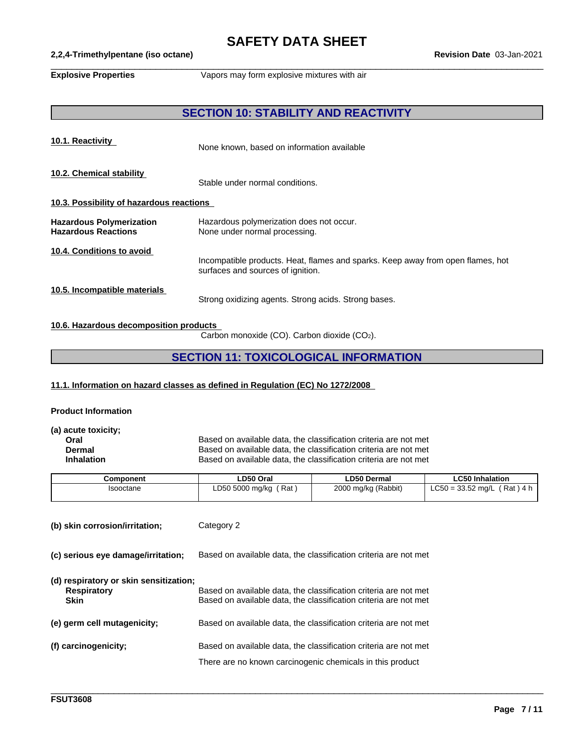## **SAFETY DATA SHEET**<br>Revision Date 03-Jan-2021

 $\_$  ,  $\_$  ,  $\_$  ,  $\_$  ,  $\_$  ,  $\_$  ,  $\_$  ,  $\_$  ,  $\_$  ,  $\_$  ,  $\_$  ,  $\_$  ,  $\_$  ,  $\_$  ,  $\_$  ,  $\_$  ,  $\_$  ,  $\_$  ,  $\_$  ,  $\_$  ,  $\_$  ,  $\_$  ,  $\_$  ,  $\_$  ,  $\_$  ,  $\_$  ,  $\_$  ,  $\_$  ,  $\_$  ,  $\_$  ,  $\_$  ,  $\_$  ,  $\_$  ,  $\_$  ,  $\_$  ,  $\_$  ,  $\_$  ,

#### **2,2,4-Trimethylpentane** (iso octane)

**Explosive Properties** Vapors may form explosive mixtures with air

#### **SECTION 10: STABILITY AND REACTIVITY**

| 10.1. Reactivity                                              | None known, based on information available                                                                           |
|---------------------------------------------------------------|----------------------------------------------------------------------------------------------------------------------|
| 10.2. Chemical stability                                      | Stable under normal conditions.                                                                                      |
| 10.3. Possibility of hazardous reactions                      |                                                                                                                      |
| <b>Hazardous Polymerization</b><br><b>Hazardous Reactions</b> | Hazardous polymerization does not occur.<br>None under normal processing.                                            |
| 10.4. Conditions to avoid                                     | Incompatible products. Heat, flames and sparks. Keep away from open flames, hot<br>surfaces and sources of ignition. |
| 10.5. Incompatible materials                                  | Strong oxidizing agents. Strong acids. Strong bases.                                                                 |

#### **10.6. Hazardous decomposition products**

Carbon monoxide (CO). Carbon dioxide (CO2).

#### **SECTION 11: TOXICOLOGICAL INFORMATION**

#### **11.1. Information on hazard classes as defined in Regulation (EC) No 1272/2008**

#### **Product Information**

**(a) acute toxicity;**

**Oral Channel Based on available data, the classification criteria are not met Dermal** Based on available data, the classification criteria are not met **Dermal** Based on available data, the classification criteria are not met<br> **Inhalation** Based on available data, the classification criteria are not met Based on available data, the classification criteria are not met

\_\_\_\_\_\_\_\_\_\_\_\_\_\_\_\_\_\_\_\_\_\_\_\_\_\_\_\_\_\_\_\_\_\_\_\_\_\_\_\_\_\_\_\_\_\_\_\_\_\_\_\_\_\_\_\_\_\_\_\_\_\_\_\_\_\_\_\_\_\_\_\_\_\_\_\_\_\_\_\_\_\_\_\_\_\_\_\_\_\_\_\_\_\_

| Component | LD50 Oral              | <b>LD50 Dermal</b>  | <b>LC50 Inhalation</b>             |
|-----------|------------------------|---------------------|------------------------------------|
| Isooctane | Rat<br>LD50 5000 mg/kg | 2000 mg/kg (Rabbit) | $LC50 = 33.52$ mg/L<br>์ Rat ) 4 h |

**(b) skin corrosion/irritation;** Category 2

**(c) serious eye damage/irritation;** Based on available data, the classification criteria are not met

| (d) respiratory or skin sensitization; |                                                                                       |  |  |  |
|----------------------------------------|---------------------------------------------------------------------------------------|--|--|--|
| <b>Description</b>                     | The complete the block of the state of the colour of the complete state of the colour |  |  |  |

| Respiratory<br><b>Skin</b>  | Based on available data, the classification criteria are not met<br>Based on available data, the classification criteria are not met |
|-----------------------------|--------------------------------------------------------------------------------------------------------------------------------------|
| (e) germ cell mutagenicity; | Based on available data, the classification criteria are not met                                                                     |
| (f) carcinogenicity;        | Based on available data, the classification criteria are not met                                                                     |
|                             | There are no known carcinogenic chemicals in this product                                                                            |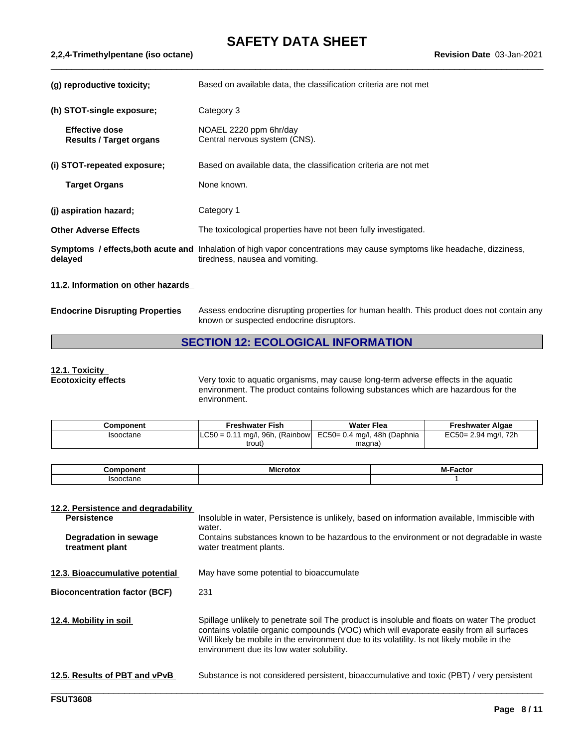## **SAFETY DATA SHEET**<br>Revision Date 03-Jan-2021

| (g) reproductive toxicity;                              | Based on available data, the classification criteria are not met                                                                                           |
|---------------------------------------------------------|------------------------------------------------------------------------------------------------------------------------------------------------------------|
| (h) STOT-single exposure;                               | Category 3                                                                                                                                                 |
| <b>Effective dose</b><br><b>Results / Target organs</b> | NOAEL 2220 ppm 6hr/day<br>Central nervous system (CNS).                                                                                                    |
| (i) STOT-repeated exposure;                             | Based on available data, the classification criteria are not met                                                                                           |
| <b>Target Organs</b>                                    | None known.                                                                                                                                                |
| (j) aspiration hazard;                                  | Category 1                                                                                                                                                 |
| <b>Other Adverse Effects</b>                            | The toxicological properties have not been fully investigated.                                                                                             |
| delayed                                                 | Symptoms / effects, both acute and Inhalation of high vapor concentrations may cause symptoms like headache, dizziness,<br>tiredness, nausea and vomiting. |
| 11.2. Information on other hazards                      |                                                                                                                                                            |
| <b>Endocrine Disrupting Properties</b>                  | Assess endocrine disrupting properties for human health. This product does not contain any<br>known or suspected endocrine disruptors.                     |

#### **SECTION 12: ECOLOGICAL INFORMATION**

## **12.1. Toxicity**

**Ecotoxicity effects** Very toxic to aquatic organisms, may cause long-term adverse effects in the aquatic environment. The product contains following substances which are hazardous for the environment.

| Component | <b>Freshwater Fish</b>               | <b>Water Flea</b>            | Freshwater Algae        |
|-----------|--------------------------------------|------------------------------|-------------------------|
| Isooctane | mg/l, 96h, (Rainbow)<br>$LC50 = 0.1$ | EC50= 0.4 mg/l, 48h (Daphnia | 72h<br>EC50= 2.94 mg/l, |
|           | trout,                               | magna                        |                         |

| .<br>.nr                     | - - | <b>BA F.</b><br>---- |
|------------------------------|-----|----------------------|
| $\mathsf{B}$<br>poctane<br>. |     |                      |

#### **12.2. Persistence and degradability**

**2,2,4-Trimethylpentane** (iso octane)

| <b>Persistence</b>                       | Insoluble in water, Persistence is unlikely, based on information available, Immiscible with<br>water.                                                                                                                                                                                                                              |
|------------------------------------------|-------------------------------------------------------------------------------------------------------------------------------------------------------------------------------------------------------------------------------------------------------------------------------------------------------------------------------------|
| Degradation in sewage<br>treatment plant | Contains substances known to be hazardous to the environment or not degradable in waste<br>water treatment plants.                                                                                                                                                                                                                  |
| 12.3. Bioaccumulative potential          | May have some potential to bioaccumulate                                                                                                                                                                                                                                                                                            |
| <b>Bioconcentration factor (BCF)</b>     | 231                                                                                                                                                                                                                                                                                                                                 |
| 12.4. Mobility in soil                   | Spillage unlikely to penetrate soil The product is insoluble and floats on water The product<br>contains volatile organic compounds (VOC) which will evaporate easily from all surfaces<br>Will likely be mobile in the environment due to its volatility. Is not likely mobile in the<br>environment due its low water solubility. |
| 12.5. Results of PBT and vPvB            | Substance is not considered persistent, bioaccumulative and toxic (PBT) / very persistent                                                                                                                                                                                                                                           |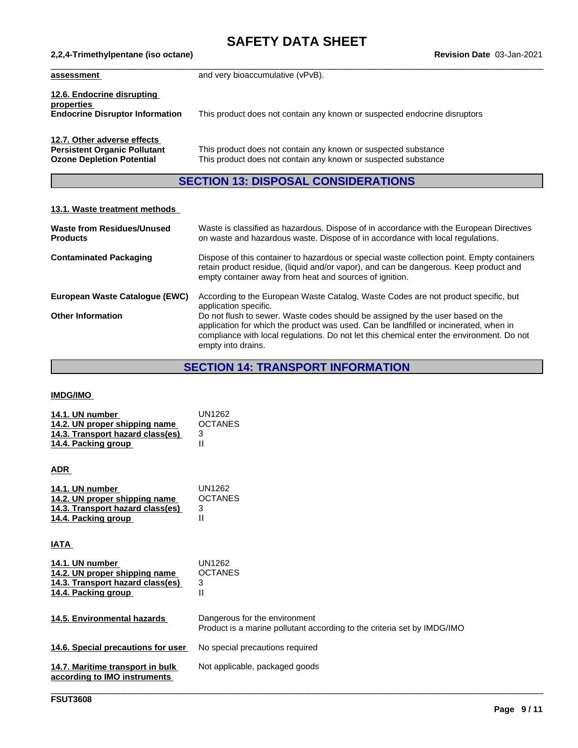# **SAFETY DATA SHEET**<br>Revision Date 03-Jan-2021

| assessment                                                                                             | and very bioaccumulative (vPvB).                                                                                                 |
|--------------------------------------------------------------------------------------------------------|----------------------------------------------------------------------------------------------------------------------------------|
| 12.6. Endocrine disrupting<br>properties<br><b>Endocrine Disruptor Information</b>                     | This product does not contain any known or suspected endocrine disruptors                                                        |
| 12.7. Other adverse effects<br><b>Persistent Organic Pollutant</b><br><b>Ozone Depletion Potential</b> | This product does not contain any known or suspected substance<br>This product does not contain any known or suspected substance |

### **SECTION 13: DISPOSAL CONSIDERATIONS**

#### **13.1. Waste treatment methods**

**2,2,4-Trimethylpentane** (iso octane)

| <b>Waste from Residues/Unused</b><br><b>Products</b> | Waste is classified as hazardous. Dispose of in accordance with the European Directives<br>on waste and hazardous waste. Dispose of in accordance with local regulations.                                                                                                                  |
|------------------------------------------------------|--------------------------------------------------------------------------------------------------------------------------------------------------------------------------------------------------------------------------------------------------------------------------------------------|
| <b>Contaminated Packaging</b>                        | Dispose of this container to hazardous or special waste collection point. Empty containers<br>retain product residue, (liquid and/or vapor), and can be dangerous. Keep product and<br>empty container away from heat and sources of ignition.                                             |
| European Waste Cataloque (EWC)                       | According to the European Waste Catalog, Waste Codes are not product specific, but<br>application specific.                                                                                                                                                                                |
| <b>Other Information</b>                             | Do not flush to sewer. Waste codes should be assigned by the user based on the<br>application for which the product was used. Can be landfilled or incinerated, when in<br>compliance with local regulations. Do not let this chemical enter the environment. Do not<br>empty into drains. |

## **SECTION 14: TRANSPORT INFORMATION**

#### **IMDG/IMO**

| 14.1. UN number                  | UN1262         |
|----------------------------------|----------------|
| 14.2. UN proper shipping name    | <b>OCTANES</b> |
| 14.3. Transport hazard class(es) |                |
| 14.4. Packing group              |                |

#### **ADR**

| 14.1. UN number                  | UN1262         |
|----------------------------------|----------------|
| 14.2. UN proper shipping name    | <b>OCTANES</b> |
| 14.3. Transport hazard class(es) |                |
| 14.4. Packing group              |                |

**IATA** 

| 14.1. UN number<br>14.2. UN proper shipping name<br>14.3. Transport hazard class(es)<br>14.4. Packing group | UN1262<br><b>OCTANES</b><br>3<br>П                                                                       |
|-------------------------------------------------------------------------------------------------------------|----------------------------------------------------------------------------------------------------------|
| 14.5. Environmental hazards                                                                                 | Dangerous for the environment<br>Product is a marine pollutant according to the criteria set by IMDG/IMO |
| 14.6. Special precautions for user                                                                          | No special precautions required                                                                          |
| 14.7. Maritime transport in bulk<br>according to IMO instruments                                            | Not applicable, packaged goods                                                                           |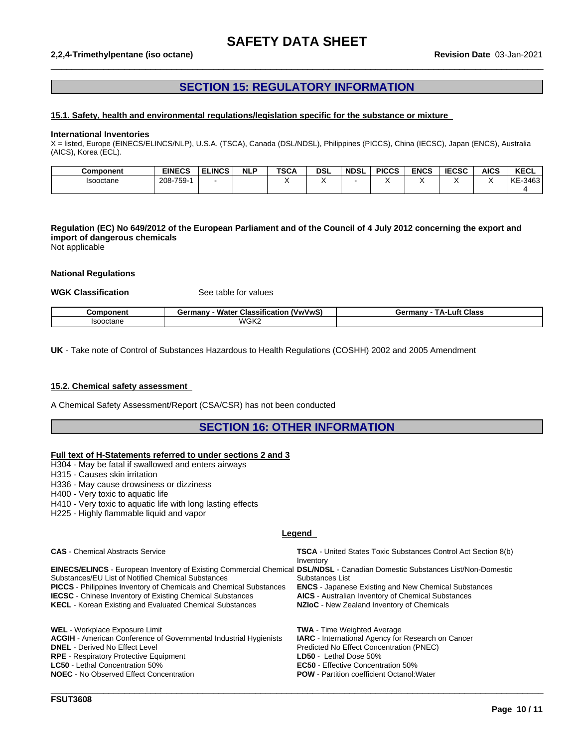#### **2,2,4-Trimethylpentane (iso octane) Revision Date** 03-Jan-2021

#### **SECTION 15: REGULATORY INFORMATION**

 $\_$  ,  $\_$  ,  $\_$  ,  $\_$  ,  $\_$  ,  $\_$  ,  $\_$  ,  $\_$  ,  $\_$  ,  $\_$  ,  $\_$  ,  $\_$  ,  $\_$  ,  $\_$  ,  $\_$  ,  $\_$  ,  $\_$  ,  $\_$  ,  $\_$  ,  $\_$  ,  $\_$  ,  $\_$  ,  $\_$  ,  $\_$  ,  $\_$  ,  $\_$  ,  $\_$  ,  $\_$  ,  $\_$  ,  $\_$  ,  $\_$  ,  $\_$  ,  $\_$  ,  $\_$  ,  $\_$  ,  $\_$  ,  $\_$  ,

#### **15.1. Safety, health and environmental regulations/legislation specific for the substance or mixture**

#### **International Inventories**

X = listed, Europe (EINECS/ELINCS/NLP), U.S.A. (TSCA), Canada (DSL/NDSL), Philippines (PICCS), China (IECSC), Japan (ENCS), Australia (AICS), Korea (ECL).

| <b>Component</b> | <b>EINECS</b> | <b>ELINCS</b> | <b>NLP</b> | <b>TSCA</b> | <b>DSL</b> | <b>NDSL</b> | <b>PICCS</b> | <b>ENCS</b> | <b>IECSC</b> | <b>AICS</b> | <b>KECL</b>   |
|------------------|---------------|---------------|------------|-------------|------------|-------------|--------------|-------------|--------------|-------------|---------------|
| Isooctane        | 208-759-      |               |            |             |            |             |              |             |              |             | $-3463$<br>KE |
|                  |               |               |            |             |            |             |              |             |              |             |               |

#### Regulation (EC) No 649/2012 of the European Parliament and of the Council of 4 July 2012 concerning the export and **import of dangerous chemicals**

Not applicable

#### **National Regulations**

#### **WGK Classification** See table for values

| `omnoneni<br>∙nen. | <br>wwww.<br>™anv -<br>- Water<br>Classification<br>Germar | .uft<br>Class<br>Germany<br>$\mathbf{a}$ |
|--------------------|------------------------------------------------------------|------------------------------------------|
| <b>Isooctane</b>   | WGK <sup>-</sup><br>.                                      |                                          |

**UK** - Take note of Control of Substances Hazardous to Health Regulations (COSHH) 2002 and 2005 Amendment

#### **15.2. Chemical safety assessment**

A Chemical Safety Assessment/Report (CSA/CSR) has not been conducted

**RPE** - Respiratory Protective Equipment **LD50 LET LD50** - Lethal Dose 50%<br> **LC50** - Lethal Concentration 50% **LC50 EG50** - Effective Concent

**NOEC** - No Observed Effect Concentration **POW** - Partition coefficient Octanol:Water

#### **SECTION 16: OTHER INFORMATION**

#### **Full text of H-Statements referred to undersections 2 and 3**

H304 - May be fatal if swallowed and enters airways

H315 - Causes skin irritation

H336 - May cause drowsiness or dizziness

H400 - Very toxic to aquatic life

H410 - Very toxic to aquatic life with long lasting effects

H225 - Highly flammable liquid and vapor

#### **Legend**

**CAS** - Chemical Abstracts Service **TSCA** - United States Toxic Substances Control Act Section 8(b) Inventory **EINECS/ELINCS** - European Inventory of Existing Commercial Chemical **DSL/NDSL** - Canadian Domestic Substances List/Non-Domestic Substances/EU List of Notified Chemical Substances<br> **PICCS** - Philippines Inventory of Chemicals and Chemical Substances<br> **ENCS** - Japanese Existing and New Chemical Substances Substances List **PICCS** - Philippines Inventory of Chemicals and Chemical Substances **IECSC** - Chinese Inventory of Existing Chemical Substances **AICS** - Australian Inventory of Chemical Substances **KECL** - Korean Existing and Evaluated Chemical Substances **NZIoC** - New Zealand Inventory of Chemicals WEL - Workplace Exposure Limit<br>**ACGIH** - American Conference of Governmental Industrial Hygienists **IARC** - International Agency for Research on Cancer **ACGIH - American Conference of Governmental Industrial Hygienists <b>DNEL -** Derived No Effect Level **Predicted No Effect Concentration (PNEC)** 

**EC50** - Effective Concentration 50%